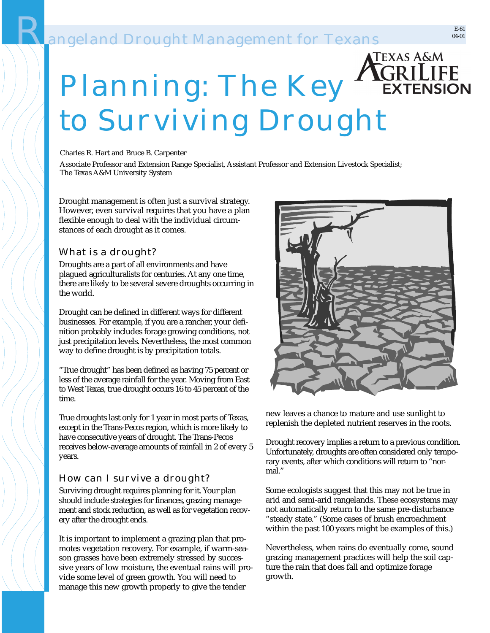# **Pangeland Drought Management for Texans**

# Planning: The Key **EXTENSION** to Surviving Drought

Charles R. Hart and Bruce B. Carpenter

Associate Professor and Extension Range Specialist, Assistant Professor and Extension Livestock Specialist; The Texas A&M University System

Drought management is often just a survival strategy. However, even survival requires that you have a plan flexible enough to deal with the individual circumstances of each drought as it comes.

#### What is a drought?

Droughts are a part of all environments and have plagued agriculturalists for centuries. At any one time, there are likely to be several severe droughts occurring in the world.

Drought can be defined in different ways for different businesses. For example, if you are a rancher, your definition probably includes forage growing conditions, not just precipitation levels. Nevertheless, the most common way to define drought is by precipitation totals.

"True drought" has been defined as having 75 percent or less of the average rainfall for the year. Moving from East to West Texas, true drought occurs 16 to 45 percent of the time.

True droughts last only for 1 year in most parts of Texas, except in the Trans-Pecos region, which is more likely to have consecutive years of drought. The Trans-Pecos receives below-average amounts of rainfall in 2 of every 5 years.

#### How can I survive a drought?

Surviving drought requires planning for it. Your plan should include strategies for finances, grazing management and stock reduction, as well as for vegetation recovery after the drought ends.

It is important to implement a grazing plan that promotes vegetation recovery. For example, if warm-season grasses have been extremely stressed by successive years of low moisture, the eventual rains will provide some level of green growth. You will need to manage this new growth properly to give the tender



new leaves a chance to mature and use sunlight to replenish the depleted nutrient reserves in the roots.

Drought recovery implies a return to a previous condition. Unfortunately, droughts are often considered only temporary events, after which conditions will return to "normal."

Some ecologists suggest that this may not be true in arid and semi-arid rangelands. These ecosystems may not automatically return to the same pre-disturbance "steady state." (Some cases of brush encroachment within the past 100 years might be examples of this.)

Nevertheless, when rains do eventually come, sound grazing management practices will help the soil capture the rain that does fall and optimize forage growth.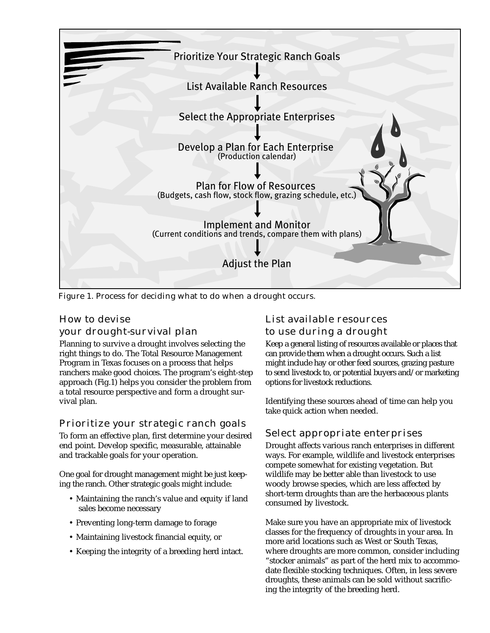

Figure 1. Process for deciding what to do when a drought occurs.

#### How to devise your drought-survival plan

Planning to survive a drought involves selecting the right things to do. The Total Resource Management Program in Texas focuses on a process that helps ranchers make good choices. The program's eight-step approach (Fig.1) helps you consider the problem from a total resource perspective and form a drought survival plan.

#### Prioritize your strategic ranch goals

To form an effective plan, first determine your desired end point. Develop specific, measurable, attainable and trackable goals for your operation.

One goal for drought management might be just keeping the ranch. Other strategic goals might include:

- Maintaining the ranch's value and equity if land sales become necessary
- Preventing long-term damage to forage
- Maintaining livestock financial equity, or
- Keeping the integrity of a breeding herd intact.

## List available resources to use during a drought

Keep a general listing of resources available or places that can provide them when a drought occurs. Such a list might include hay or other feed sources, grazing pasture to send livestock to, or potential buyers and/or marketing options for livestock reductions.

Identifying these sources ahead of time can help you take quick action when needed.

#### Select appropriate enterprises

Drought affects various ranch enterprises in different ways. For example, wildlife and livestock enterprises compete somewhat for existing vegetation. But wildlife may be better able than livestock to use woody browse species, which are less affected by short-term droughts than are the herbaceous plants consumed by livestock.

Make sure you have an appropriate mix of livestock classes for the frequency of droughts in your area. In more arid locations such as West or South Texas, where droughts are more common, consider including "stocker animals" as part of the herd mix to accommodate flexible stocking techniques. Often, in less severe droughts, these animals can be sold without sacrificing the integrity of the breeding herd.